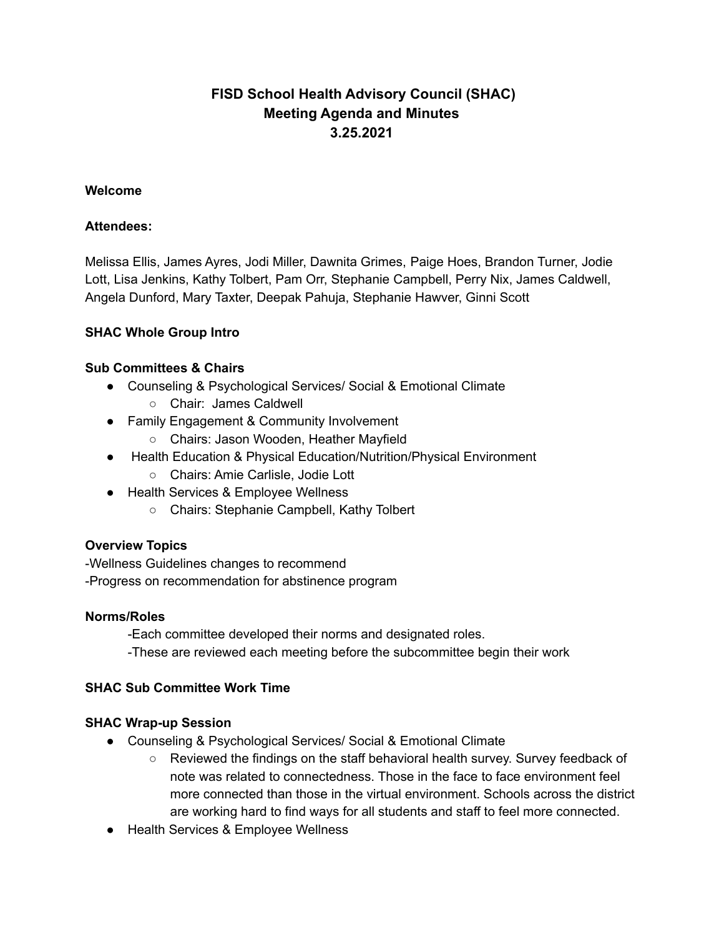# **FISD School Health Advisory Council (SHAC) Meeting Agenda and Minutes 3.25.2021**

### **Welcome**

### **Attendees:**

Melissa Ellis, James Ayres, Jodi Miller, Dawnita Grimes, Paige Hoes, Brandon Turner, Jodie Lott, Lisa Jenkins, Kathy Tolbert, Pam Orr, Stephanie Campbell, Perry Nix, James Caldwell, Angela Dunford, Mary Taxter, Deepak Pahuja, Stephanie Hawver, Ginni Scott

### **SHAC Whole Group Intro**

#### **Sub Committees & Chairs**

- Counseling & Psychological Services/ Social & Emotional Climate
	- Chair: James Caldwell
- Family Engagement & Community Involvement
	- Chairs: Jason Wooden, Heather Mayfield
- Health Education & Physical Education/Nutrition/Physical Environment
	- Chairs: Amie Carlisle, Jodie Lott
- Health Services & Employee Wellness
	- Chairs: Stephanie Campbell, Kathy Tolbert

### **Overview Topics**

-Wellness Guidelines changes to recommend -Progress on recommendation for abstinence program

#### **Norms/Roles**

-Each committee developed their norms and designated roles.

-These are reviewed each meeting before the subcommittee begin their work

### **SHAC Sub Committee Work Time**

### **SHAC Wrap-up Session**

- Counseling & Psychological Services/ Social & Emotional Climate
	- Reviewed the findings on the staff behavioral health survey. Survey feedback of note was related to connectedness. Those in the face to face environment feel more connected than those in the virtual environment. Schools across the district are working hard to find ways for all students and staff to feel more connected.
- Health Services & Employee Wellness